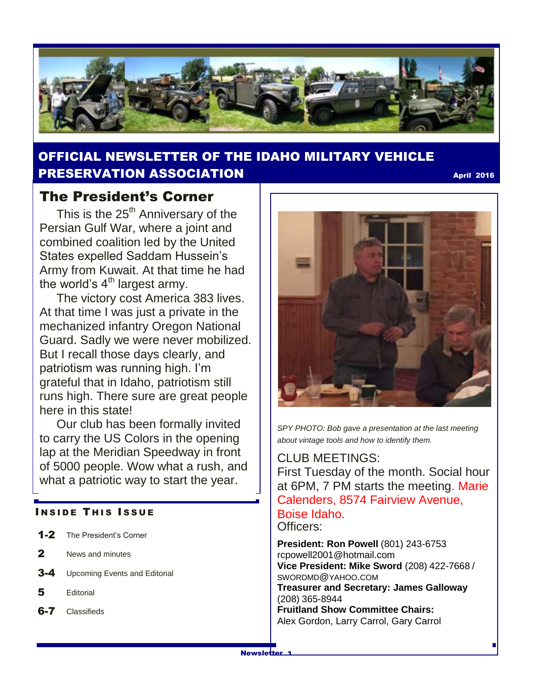

# OFFICIAL NEWSLETTER OF THE IDAHO MILITARY VEHICLE **PRESERVATION ASSOCIATION CONSUMING THE CONSUMING APRIL 2016**

## The President's Corner

This is the  $25<sup>th</sup>$  Anniversary of the Persian Gulf War, where a joint and combined coalition led by the United States expelled Saddam Hussein's Army from Kuwait. At that time he had the world's  $4<sup>th</sup>$  largest army.

 The victory cost America 383 lives. At that time I was just a private in the mechanized infantry Oregon National Guard. Sadly we were never mobilized. But I recall those days clearly, and patriotism was running high. I'm grateful that in Idaho, patriotism still runs high. There sure are great people here in this state!

 Our club has been formally invited to carry the US Colors in the opening lap at the Meridian Speedway in front of 5000 people. Wow what a rush, and what a patriotic way to start the year.

#### **INSIDE THIS ISSUE**

- 1-2 The President's Corner
- 2 News and minutes
- **3-4** Upcoming Events and Editorial
- 5 Editorial
- **6-7** Classifieds



*SPY PHOTO: Bob gave a presentation at the last meeting about vintage tools and how to identify them.*

#### CLUB MEETINGS:

First Tuesday of the month. Social hour at 6PM, 7 PM starts the meeting. Marie Calenders, 8574 Fairview Avenue, Boise Idaho. Officers:

**President: Ron Powell** (801) 243-6753 rcpowell2001@hotmail.com **Vice President: Mike Sword** (208) 422-7668 / SWORDMD@YAHOO.COM **Treasurer and Secretary: James Galloway**  (208) 365-8944 **Fruitland Show Committee Chairs:** Alex Gordon, Larry Carrol, Gary Carrol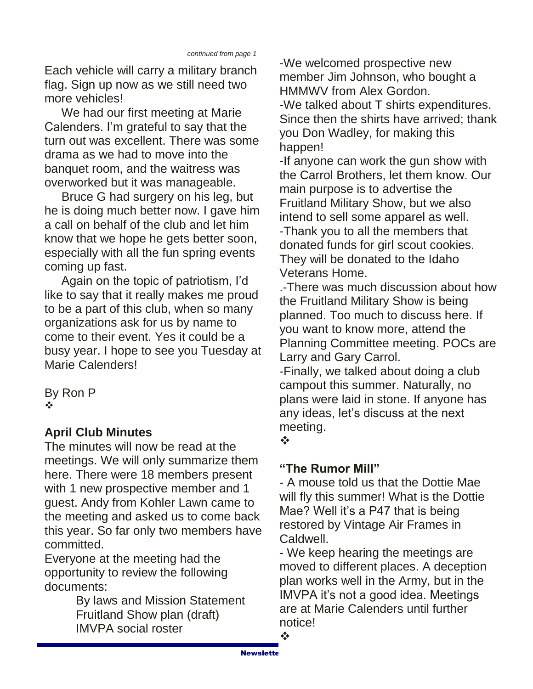Each vehicle will carry a military branch flag. Sign up now as we still need two more vehicles!

 We had our first meeting at Marie Calenders. I'm grateful to say that the turn out was excellent. There was some drama as we had to move into the banquet room, and the waitress was overworked but it was manageable.

 Bruce G had surgery on his leg, but he is doing much better now. I gave him a call on behalf of the club and let him know that we hope he gets better soon, especially with all the fun spring events coming up fast.

 Again on the topic of patriotism, I'd like to say that it really makes me proud to be a part of this club, when so many organizations ask for us by name to come to their event. Yes it could be a busy year. I hope to see you Tuesday at Marie Calenders!

By Ron P  $\frac{1}{2}$ 

# **April Club Minutes**

The minutes will now be read at the meetings. We will only summarize them here. There were 18 members present with 1 new prospective member and 1 guest. Andy from Kohler Lawn came to the meeting and asked us to come back this year. So far only two members have committed.

Everyone at the meeting had the opportunity to review the following documents:

By laws and Mission Statement Fruitland Show plan (draft) IMVPA social roster

-We welcomed prospective new member Jim Johnson, who bought a HMMWV from Alex Gordon. -We talked about T shirts expenditures.

Since then the shirts have arrived; thank you Don Wadley, for making this happen!

-If anyone can work the gun show with the Carrol Brothers, let them know. Our main purpose is to advertise the Fruitland Military Show, but we also intend to sell some apparel as well. -Thank you to all the members that donated funds for girl scout cookies. They will be donated to the Idaho Veterans Home.

.-There was much discussion about how the Fruitland Military Show is being planned. Too much to discuss here. If you want to know more, attend the Planning Committee meeting. POCs are Larry and Gary Carrol.

-Finally, we talked about doing a club campout this summer. Naturally, no plans were laid in stone. If anyone has any ideas, let's discuss at the next meeting.

 $\frac{1}{2}$ 

# **"The Rumor Mill"**

- A mouse told us that the Dottie Mae will fly this summer! What is the Dottie Mae? Well it's a P47 that is being restored by Vintage Air Frames in Caldwell.

- We keep hearing the meetings are moved to different places. A deception plan works well in the Army, but in the IMVPA it's not a good idea. Meetings are at Marie Calenders until further notice!

❖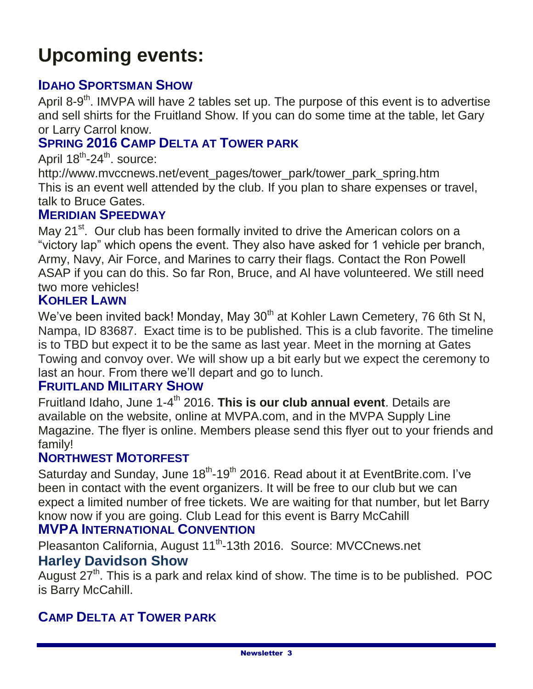# **Upcoming events:**

## **IDAHO SPORTSMAN SHOW**

April 8-9<sup>th</sup>. IMVPA will have 2 tables set up. The purpose of this event is to advertise and sell shirts for the Fruitland Show. If you can do some time at the table, let Gary or Larry Carrol know.

# **SPRING 2016 CAMP DELTA AT TOWER PARK**

April 18<sup>th</sup>-24<sup>th</sup>. source:

http://www.mvccnews.net/event\_pages/tower\_park/tower\_park\_spring.htm This is an event well attended by the club. If you plan to share expenses or travel, talk to Bruce Gates.

#### **MERIDIAN SPEEDWAY**

May 21<sup>st</sup>. Our club has been formally invited to drive the American colors on a "victory lap" which opens the event. They also have asked for 1 vehicle per branch, Army, Navy, Air Force, and Marines to carry their flags. Contact the Ron Powell ASAP if you can do this. So far Ron, Bruce, and Al have volunteered. We still need two more vehicles!

#### **KOHLER LAWN**

We've been invited back! Monday, May  $30<sup>th</sup>$  at Kohler Lawn Cemetery, 76 6th St N, Nampa, ID 83687. Exact time is to be published. This is a club favorite. The timeline is to TBD but expect it to be the same as last year. Meet in the morning at Gates Towing and convoy over. We will show up a bit early but we expect the ceremony to last an hour. From there we'll depart and go to lunch.

#### **FRUITLAND MILITARY SHOW**

Fruitland Idaho, June 1-4<sup>th</sup> 2016. This is our club annual event. Details are available on the website, online at MVPA.com, and in the MVPA Supply Line Magazine. The flyer is online. Members please send this flyer out to your friends and family!

#### **NORTHWEST MOTORFEST**

Saturday and Sunday, June 18<sup>th</sup>-19<sup>th</sup> 2016. Read about it at EventBrite.com. I've been in contact with the event organizers. It will be free to our club but we can expect a limited number of free tickets. We are waiting for that number, but let Barry know now if you are going. Club Lead for this event is Barry McCahill

# **MVPA INTERNATIONAL CONVENTION**

Pleasanton California, August 11<sup>th</sup>-13th 2016. Source: MVCCnews.net

#### **Harley Davidson Show**

August 27<sup>th</sup>. This is a park and relax kind of show. The time is to be published. POC is Barry McCahill.

#### **CAMP DELTA AT TOWER PARK**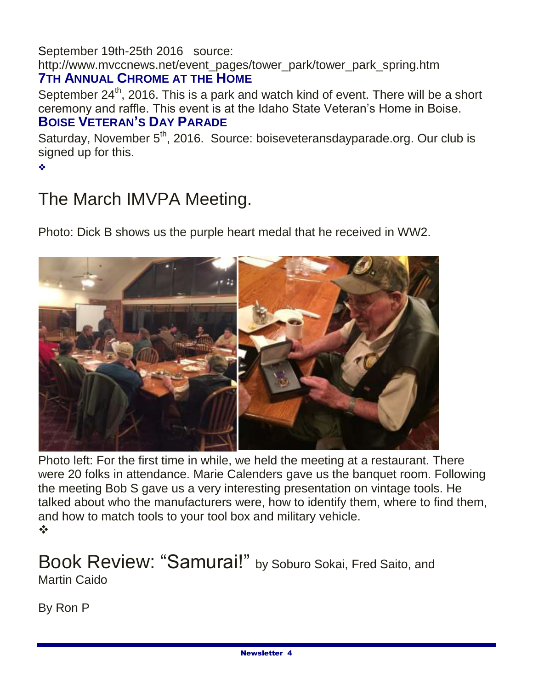September 19th-25th 2016 source:

http://www.mvccnews.net/event\_pages/tower\_park/tower\_park\_spring.htm **7TH ANNUAL CHROME AT THE HOME**

September  $24<sup>th</sup>$ , 2016. This is a park and watch kind of event. There will be a short ceremony and raffle. This event is at the Idaho State Veteran's Home in Boise. **BOISE VETERAN'S DAY PARADE**

Saturday, November  $5<sup>th</sup>$ , 2016. Source: boiseveteransdayparade.org. Our club is signed up for this.

٠

# The March IMVPA Meeting.

Photo: Dick B shows us the purple heart medal that he received in WW2.



Photo left: For the first time in while, we held the meeting at a restaurant. There were 20 folks in attendance. Marie Calenders gave us the banquet room. Following the meeting Bob S gave us a very interesting presentation on vintage tools. He talked about who the manufacturers were, how to identify them, where to find them, and how to match tools to your tool box and military vehicle.  $\frac{1}{2}$ 

# Book Review: "Samurai!" by Soburo Sokai, Fred Saito, and Martin Caido

By Ron P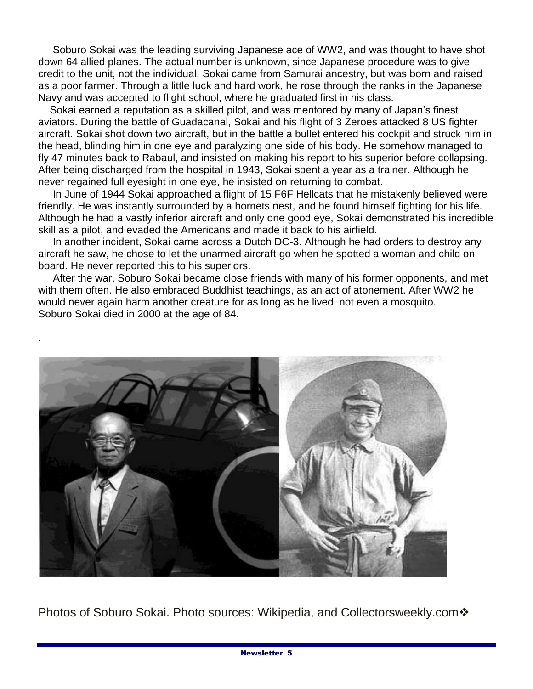Soburo Sokai was the leading surviving Japanese ace of WW2, and was thought to have shot down 64 allied planes. The actual number is unknown, since Japanese procedure was to give credit to the unit, not the individual. Sokai came from Samurai ancestry, but was born and raised as a poor farmer. Through a little luck and hard work, he rose through the ranks in the Japanese Navy and was accepted to flight school, where he graduated first in his class.

 Sokai earned a reputation as a skilled pilot, and was mentored by many of Japan's finest aviators. During the battle of Guadacanal, Sokai and his flight of 3 Zeroes attacked 8 US fighter aircraft. Sokai shot down two aircraft, but in the battle a bullet entered his cockpit and struck him in the head, blinding him in one eye and paralyzing one side of his body. He somehow managed to fly 47 minutes back to Rabaul, and insisted on making his report to his superior before collapsing. After being discharged from the hospital in 1943, Sokai spent a year as a trainer. Although he never regained full eyesight in one eye, he insisted on returning to combat.

 In June of 1944 Sokai approached a flight of 15 F6F Hellcats that he mistakenly believed were friendly. He was instantly surrounded by a hornets nest, and he found himself fighting for his life. Although he had a vastly inferior aircraft and only one good eye, Sokai demonstrated his incredible skill as a pilot, and evaded the Americans and made it back to his airfield.

 In another incident, Sokai came across a Dutch DC-3. Although he had orders to destroy any aircraft he saw, he chose to let the unarmed aircraft go when he spotted a woman and child on board. He never reported this to his superiors.

 After the war, Soburo Sokai became close friends with many of his former opponents, and met with them often. He also embraced Buddhist teachings, as an act of atonement. After WW2 he would never again harm another creature for as long as he lived, not even a mosquito. Soburo Sokai died in 2000 at the age of 84.



Photos of Soburo Sokai. Photo sources: Wikipedia, and Collectorsweekly.com ❖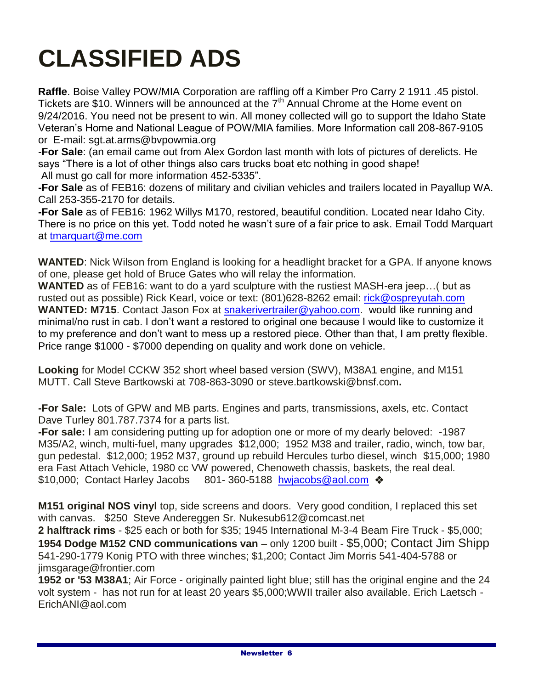# **CLASSIFIED ADS**

**Raffle**. Boise Valley POW/MIA Corporation are raffling off a Kimber Pro Carry 2 1911 .45 pistol. Tickets are \$10. Winners will be announced at the 7<sup>th</sup> Annual Chrome at the Home event on 9/24/2016. You need not be present to win. All money collected will go to support the Idaho State Veteran's Home and National League of POW/MIA families. More Information call 208-867-9105 or E-mail: sgt.at.arms@bvpowmia.org

-**For Sale**: (an email came out from Alex Gordon last month with lots of pictures of derelicts. He says "There is a lot of other things also cars trucks boat etc nothing in good shape!

All must go call for more information 452-5335".

**-For Sale** as of FEB16: dozens of military and civilian vehicles and trailers located in Payallup WA. Call 253-355-2170 for details.

**-For Sale** as of FEB16: 1962 Willys M170, restored, beautiful condition. Located near Idaho City. There is no price on this yet. Todd noted he wasn't sure of a fair price to ask. Email Todd Marquart at [tmarquart@me.com](mailto:tmarquart@me.com)

**WANTED**: Nick Wilson from England is looking for a headlight bracket for a GPA. If anyone knows of one, please get hold of Bruce Gates who will relay the information.

**WANTED** as of FEB16: want to do a yard sculpture with the rustiest MASH-era jeep…( but as rusted out as possible) Rick Kearl, voice or text: (801)628-8262 email: [rick@ospreyutah.com](mailto:rick@ospreyutah.com) **WANTED: M715.** Contact Jason Fox at [snakerivertrailer@yahoo.com.](mailto:snakerivertrailer@yahoo.com) would like running and minimal/no rust in cab. I don't want a restored to original one because I would like to customize it to my preference and don't want to mess up a restored piece. Other than that, I am pretty flexible. Price range \$1000 - \$7000 depending on quality and work done on vehicle.

**Looking** for Model CCKW 352 short wheel based version (SWV), M38A1 engine, and M151 MUTT. Call Steve Bartkowski at 708-863-3090 or steve.bartkowski@bnsf.com**.**

**-For Sale:** Lots of GPW and MB parts. Engines and parts, transmissions, axels, etc. Contact Dave Turley 801.787.7374 for a parts list.

**-For sale:** I am considering putting up for adoption one or more of my dearly beloved: -1987 M35/A2, winch, multi-fuel, many upgrades \$12,000; 1952 M38 and trailer, radio, winch, tow bar, gun pedestal. \$12,000; 1952 M37, ground up rebuild Hercules turbo diesel, winch \$15,000; 1980 era Fast Attach Vehicle, 1980 cc VW powered, Chenoweth chassis, baskets, the real deal. \$10,000; Contact Harley Jacobs 801-360-5188 [hwjacobs@aol.com](mailto:hwjacobs@aol.com) �

**M151 original NOS vinyl** top, side screens and doors. Very good condition, I replaced this set with canvas. \$250 Steve Andereggen Sr. Nukesub612@comcast.net

**2 halftrack rims** - \$25 each or both for \$35; 1945 International M-3-4 Beam Fire Truck - \$5,000; **1954 Dodge M152 CND communications van** – only 1200 built - \$5,000; Contact Jim Shipp 541-290-1779 Konig PTO with three winches; \$1,200; Contact Jim Morris 541-404-5788 or jimsgarage@frontier.com

**1952 or '53 M38A1**; Air Force - originally painted light blue; still has the original engine and the 24 volt system - has not run for at least 20 years \$5,000;WWII trailer also available. Erich Laetsch - ErichANI@aol.com